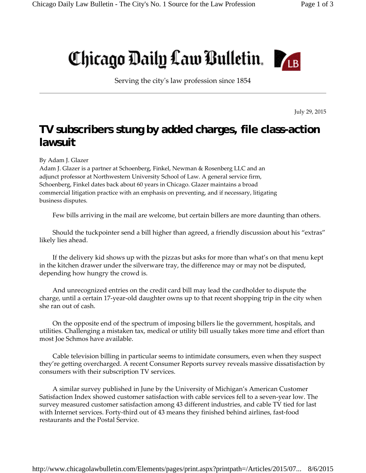## Chicago Daily Law Bulletin.



Serving the cityʹs law profession since 1854

July 29, 2015

## **TV subscribers stung by added charges, file class-action lawsuit**

By Adam J. Glazer

Adam J. Glazer is a partner at Schoenberg, Finkel, Newman & Rosenberg LLC and an adjunct professor at Northwestern University School of Law. A general service firm, Schoenberg, Finkel dates back about 60 years in Chicago. Glazer maintains a broad commercial litigation practice with an emphasis on preventing, and if necessary, litigating business disputes.

Few bills arriving in the mail are welcome, but certain billers are more daunting than others.

Should the tuckpointer send a bill higher than agreed, a friendly discussion about his "extras" likely lies ahead.

If the delivery kid shows up with the pizzas but asks for more than what's on that menu kept in the kitchen drawer under the silverware tray, the difference may or may not be disputed, depending how hungry the crowd is.

And unrecognized entries on the credit card bill may lead the cardholder to dispute the charge, until a certain 17-year-old daughter owns up to that recent shopping trip in the city when she ran out of cash.

On the opposite end of the spectrum of imposing billers lie the government, hospitals, and utilities. Challenging a mistaken tax, medical or utility bill usually takes more time and effort than most Joe Schmos have available.

Cable television billing in particular seems to intimidate consumers, even when they suspect they're getting overcharged. A recent Consumer Reports survey reveals massive dissatisfaction by consumers with their subscription TV services.

A similar survey published in June by the University of Michigan's American Customer Satisfaction Index showed customer satisfaction with cable services fell to a seven-year low. The survey measured customer satisfaction among 43 different industries, and cable TV tied for last with Internet services. Forty-third out of 43 means they finished behind airlines, fast-food restaurants and the Postal Service.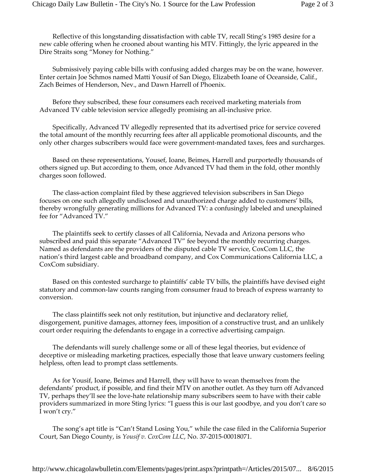Reflective of this longstanding dissatisfaction with cable TV, recall Sting's 1985 desire for a new cable offering when he crooned about wanting his MTV. Fittingly, the lyric appeared in the Dire Straits song "Money for Nothing."

Submissively paying cable bills with confusing added charges may be on the wane, however. Enter certain Joe Schmos named Matti Yousif of San Diego, Elizabeth Ioane of Oceanside, Calif., Zach Beimes of Henderson, Nev., and Dawn Harrell of Phoenix.

Before they subscribed, these four consumers each received marketing materials from Advanced TV cable television service allegedly promising an all-inclusive price.

Specifically, Advanced TV allegedly represented that its advertised price for service covered the total amount of the monthly recurring fees after all applicable promotional discounts, and the only other charges subscribers would face were government-mandated taxes, fees and surcharges.

Based on these representations, Yousef, Ioane, Beimes, Harrell and purportedly thousands of others signed up. But according to them, once Advanced TV had them in the fold, other monthly charges soon followed.

The class-action complaint filed by these aggrieved television subscribers in San Diego focuses on one such allegedly undisclosed and unauthorized charge added to customers' bills, thereby wrongfully generating millions for Advanced TV: a confusingly labeled and unexplained fee for "Advanced TV."

The plaintiffs seek to certify classes of all California, Nevada and Arizona persons who subscribed and paid this separate "Advanced TV" fee beyond the monthly recurring charges. Named as defendants are the providers of the disputed cable TV service, CoxCom LLC, the nation's third largest cable and broadband company, and Cox Communications California LLC, a CoxCom subsidiary.

Based on this contested surcharge to plaintiffs' cable TV bills, the plaintiffs have devised eight statutory and common-law counts ranging from consumer fraud to breach of express warranty to conversion.

The class plaintiffs seek not only restitution, but injunctive and declaratory relief, disgorgement, punitive damages, attorney fees, imposition of a constructive trust, and an unlikely court order requiring the defendants to engage in a corrective advertising campaign.

The defendants will surely challenge some or all of these legal theories, but evidence of deceptive or misleading marketing practices, especially those that leave unwary customers feeling helpless, often lead to prompt class settlements.

As for Yousif, Ioane, Beimes and Harrell, they will have to wean themselves from the defendants' product, if possible, and find their MTV on another outlet. As they turn off Advanced TV, perhaps they'll see the lovehate relationship many subscribers seem to have with their cable providers summarized in more Sting lyrics: "I guess this is our last goodbye, and you don't care so I won't cry."

The song's apt title is "Can't Stand Losing You," while the case filed in the California Superior Court, San Diego County, is *Yousif v. CoxCom LLC*, No. 37-2015-00018071.